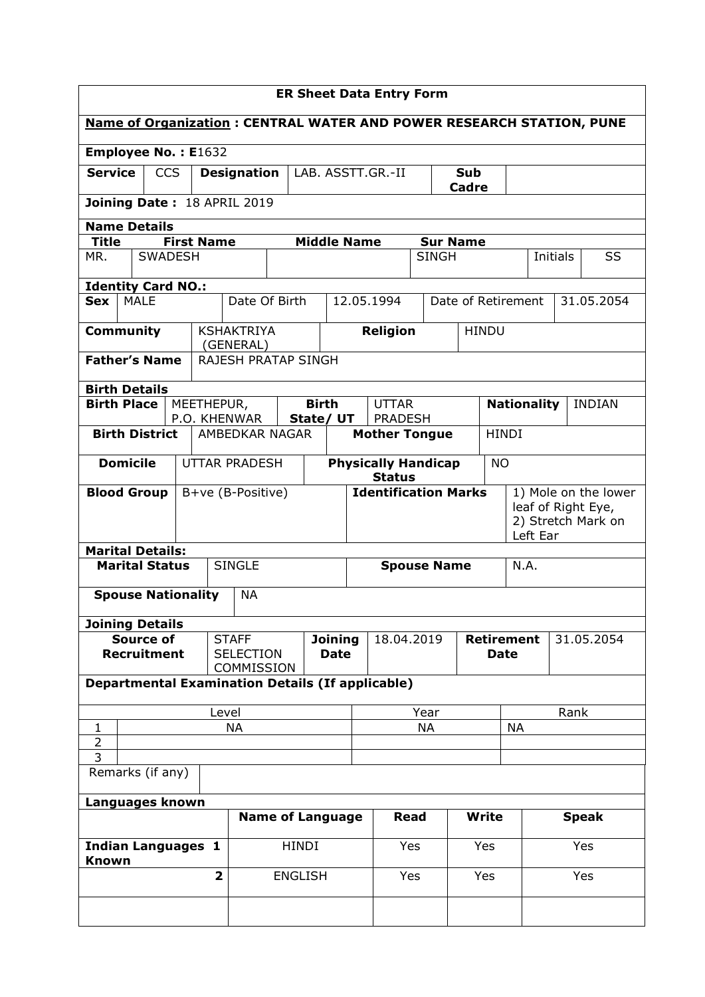| <b>ER Sheet Data Entry Form</b>                                             |                                                    |  |                |                         |                                                         |                               |                                             |                            |                      |                      |              |                                          |           |                    |          |     |               |           |
|-----------------------------------------------------------------------------|----------------------------------------------------|--|----------------|-------------------------|---------------------------------------------------------|-------------------------------|---------------------------------------------|----------------------------|----------------------|----------------------|--------------|------------------------------------------|-----------|--------------------|----------|-----|---------------|-----------|
| <b>Name of Organization: CENTRAL WATER AND POWER RESEARCH STATION, PUNE</b> |                                                    |  |                |                         |                                                         |                               |                                             |                            |                      |                      |              |                                          |           |                    |          |     |               |           |
| <b>Employee No.: E1632</b>                                                  |                                                    |  |                |                         |                                                         |                               |                                             |                            |                      |                      |              |                                          |           |                    |          |     |               |           |
|                                                                             | <b>Service</b><br><b>CCS</b><br><b>Designation</b> |  |                | LAB. ASSTT.GR.-II       |                                                         |                               | Sub<br><b>Cadre</b>                         |                            |                      |                      |              |                                          |           |                    |          |     |               |           |
|                                                                             |                                                    |  |                |                         | Joining Date: 18 APRIL 2019                             |                               |                                             |                            |                      |                      |              |                                          |           |                    |          |     |               |           |
| <b>Name Details</b>                                                         |                                                    |  |                |                         |                                                         |                               |                                             |                            |                      |                      |              |                                          |           |                    |          |     |               |           |
| <b>Title</b>                                                                |                                                    |  |                | <b>First Name</b>       |                                                         |                               | <b>Middle Name</b>                          |                            |                      |                      |              | <b>Sur Name</b>                          |           |                    |          |     |               |           |
| MR.                                                                         |                                                    |  | <b>SWADESH</b> |                         |                                                         |                               |                                             |                            |                      |                      | <b>SINGH</b> |                                          |           |                    | Initials |     |               | <b>SS</b> |
| <b>Identity Card NO.:</b>                                                   |                                                    |  |                |                         |                                                         |                               |                                             |                            |                      |                      |              |                                          |           |                    |          |     |               |           |
| <b>Sex</b>                                                                  | <b>MALE</b>                                        |  |                |                         | Date Of Birth                                           |                               |                                             |                            | 12.05.1994           |                      |              |                                          |           | Date of Retirement |          |     | 31.05.2054    |           |
| <b>Community</b>                                                            |                                                    |  |                |                         | <b>KSHAKTRIYA</b><br>(GENERAL)                          |                               |                                             |                            | <b>Religion</b>      |                      |              | <b>HINDU</b>                             |           |                    |          |     |               |           |
| <b>Father's Name</b>                                                        |                                                    |  |                |                         | <b>RAJESH PRATAP SINGH</b>                              |                               |                                             |                            |                      |                      |              |                                          |           |                    |          |     |               |           |
| <b>Birth Details</b>                                                        |                                                    |  |                |                         |                                                         |                               |                                             |                            |                      |                      |              |                                          |           |                    |          |     |               |           |
| <b>Birth Place</b>                                                          |                                                    |  |                | MEETHEPUR,              |                                                         |                               | <b>Birth</b>                                |                            | <b>UTTAR</b>         |                      |              |                                          |           | <b>Nationality</b> |          |     | <b>INDIAN</b> |           |
|                                                                             |                                                    |  |                |                         | P.O. KHENWAR                                            |                               | State/ UT                                   |                            | <b>PRADESH</b>       |                      |              |                                          |           |                    |          |     |               |           |
|                                                                             | <b>Birth District</b>                              |  |                |                         | AMBEDKAR NAGAR                                          |                               |                                             |                            | <b>Mother Tongue</b> |                      |              |                                          |           | <b>HINDI</b>       |          |     |               |           |
|                                                                             | <b>Domicile</b>                                    |  |                |                         | <b>UTTAR PRADESH</b>                                    |                               | <b>Physically Handicap</b><br><b>Status</b> |                            |                      |                      | <b>NO</b>    |                                          |           |                    |          |     |               |           |
| <b>Blood Group</b>                                                          |                                                    |  |                |                         | B+ve (B-Positive)                                       | <b>Identification Marks</b>   |                                             |                            |                      | 1) Mole on the lower |              |                                          |           |                    |          |     |               |           |
|                                                                             |                                                    |  |                |                         |                                                         |                               |                                             |                            |                      |                      |              | leaf of Right Eye,<br>2) Stretch Mark on |           |                    |          |     |               |           |
|                                                                             |                                                    |  |                |                         |                                                         |                               |                                             |                            |                      |                      |              | Left Ear                                 |           |                    |          |     |               |           |
| <b>Marital Details:</b>                                                     |                                                    |  |                |                         |                                                         |                               |                                             |                            |                      |                      |              |                                          |           |                    |          |     |               |           |
|                                                                             | <b>Marital Status</b>                              |  |                |                         | <b>SINGLE</b>                                           |                               |                                             | N.A.<br><b>Spouse Name</b> |                      |                      |              |                                          |           |                    |          |     |               |           |
|                                                                             | <b>Spouse Nationality</b>                          |  |                |                         | <b>NA</b>                                               |                               |                                             |                            |                      |                      |              |                                          |           |                    |          |     |               |           |
| <b>Joining Details</b>                                                      |                                                    |  |                |                         |                                                         |                               |                                             |                            |                      |                      |              |                                          |           |                    |          |     |               |           |
|                                                                             | <b>Source of</b><br><b>Recruitment</b>             |  |                |                         | <b>STAFF</b><br><b>SELECTION</b>                        | <b>Joining</b><br><b>Date</b> |                                             |                            | 18.04.2019           |                      |              | <b>Retirement</b><br>31.05.2054<br>Date  |           |                    |          |     |               |           |
|                                                                             |                                                    |  |                |                         | COMMISSION                                              |                               |                                             |                            |                      |                      |              |                                          |           |                    |          |     |               |           |
|                                                                             |                                                    |  |                |                         | <b>Departmental Examination Details (If applicable)</b> |                               |                                             |                            |                      |                      |              |                                          |           |                    |          |     |               |           |
|                                                                             |                                                    |  |                | Level                   |                                                         |                               |                                             |                            |                      | Year                 |              |                                          |           | Rank               |          |     |               |           |
| $\mathbf{1}$                                                                |                                                    |  |                |                         | <b>NA</b>                                               |                               |                                             |                            |                      | <b>NA</b>            |              |                                          | <b>NA</b> |                    |          |     |               |           |
| $\overline{2}$<br>$\overline{3}$                                            |                                                    |  |                |                         |                                                         |                               |                                             |                            |                      |                      |              |                                          |           |                    |          |     |               |           |
|                                                                             | Remarks (if any)                                   |  |                |                         |                                                         |                               |                                             |                            |                      |                      |              |                                          |           |                    |          |     |               |           |
| Languages known                                                             |                                                    |  |                |                         |                                                         |                               |                                             |                            |                      |                      |              |                                          |           |                    |          |     |               |           |
|                                                                             |                                                    |  |                |                         |                                                         |                               | <b>Name of Language</b>                     |                            | Read                 |                      |              | <b>Write</b>                             |           |                    |          |     | <b>Speak</b>  |           |
|                                                                             |                                                    |  |                | <b>HINDI</b>            |                                                         |                               | Yes                                         |                            | Yes                  |                      | Yes          |                                          |           |                    |          |     |               |           |
| <b>Indian Languages 1</b><br><b>Known</b>                                   |                                                    |  |                |                         |                                                         |                               |                                             |                            |                      |                      |              |                                          |           |                    |          |     |               |           |
|                                                                             |                                                    |  |                | $\overline{\mathbf{2}}$ |                                                         | <b>ENGLISH</b>                |                                             |                            | Yes                  |                      |              | Yes                                      |           |                    |          | Yes |               |           |
|                                                                             |                                                    |  |                |                         |                                                         |                               |                                             |                            |                      |                      |              |                                          |           |                    |          |     |               |           |
|                                                                             |                                                    |  |                |                         |                                                         |                               |                                             |                            |                      |                      |              |                                          |           |                    |          |     |               |           |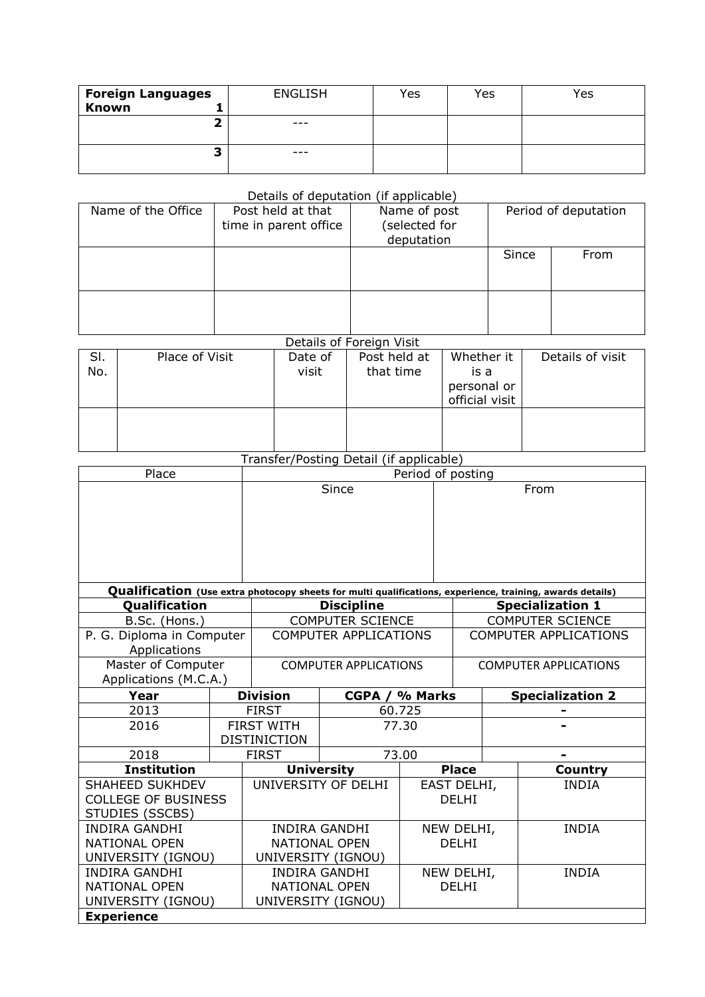| <b>Foreign Languages</b> | <b>ENGLISH</b> | Yes | Yes | Yes |
|--------------------------|----------------|-----|-----|-----|
| Known                    |                |     |     |     |
| ∽                        | $- - -$        |     |     |     |
| a                        | $- - -$        |     |     |     |

## Details of deputation (if applicable)

| Name of the Office | Post held at that<br>time in parent office | Name of post<br>selected for)<br>deputation | Period of deputation |      |  |  |
|--------------------|--------------------------------------------|---------------------------------------------|----------------------|------|--|--|
|                    |                                            |                                             | Since                | From |  |  |
|                    |                                            |                                             |                      |      |  |  |

## Details of Foreign Visit

| SI.<br>No. | Place of Visit | Date of<br>visit | Post held at<br>that time | Whether it<br>is a<br>personal or<br>official visit | Details of visit |
|------------|----------------|------------------|---------------------------|-----------------------------------------------------|------------------|
|            |                |                  |                           |                                                     |                  |

## Transfer/Posting Detail (if applicable)

| Place                                                                                                     |  | Period of posting            |                              |                |                              |              |                              |  |
|-----------------------------------------------------------------------------------------------------------|--|------------------------------|------------------------------|----------------|------------------------------|--------------|------------------------------|--|
|                                                                                                           |  |                              | Since                        |                |                              |              | From                         |  |
| Qualification (Use extra photocopy sheets for multi qualifications, experience, training, awards details) |  |                              |                              |                |                              |              |                              |  |
| Qualification                                                                                             |  |                              | <b>Discipline</b>            |                |                              |              | <b>Specialization 1</b>      |  |
| B.Sc. (Hons.)                                                                                             |  |                              | <b>COMPUTER SCIENCE</b>      |                |                              |              | <b>COMPUTER SCIENCE</b>      |  |
| P. G. Diploma in Computer                                                                                 |  |                              | <b>COMPUTER APPLICATIONS</b> |                |                              |              | <b>COMPUTER APPLICATIONS</b> |  |
| Applications                                                                                              |  |                              |                              |                |                              |              |                              |  |
| Master of Computer                                                                                        |  | <b>COMPUTER APPLICATIONS</b> |                              |                | <b>COMPUTER APPLICATIONS</b> |              |                              |  |
| Applications (M.C.A.)                                                                                     |  |                              |                              |                |                              |              |                              |  |
| Year                                                                                                      |  | <b>Division</b>              |                              | CGPA / % Marks |                              |              | <b>Specialization 2</b>      |  |
| 2013                                                                                                      |  | <b>FIRST</b>                 | 60.725                       |                |                              |              |                              |  |
| 2016                                                                                                      |  | <b>FIRST WITH</b><br>77.30   |                              |                |                              |              |                              |  |
|                                                                                                           |  | <b>DISTINICTION</b>          |                              |                |                              |              |                              |  |
| 2018                                                                                                      |  | <b>FIRST</b>                 | 73.00                        |                |                              |              |                              |  |
| <b>Institution</b>                                                                                        |  | <b>University</b>            |                              | <b>Place</b>   |                              | Country      |                              |  |
| <b>SHAHEED SUKHDEV</b>                                                                                    |  | UNIVERSITY OF DELHI          | EAST DELHI,                  |                |                              | <b>INDIA</b> |                              |  |
| <b>COLLEGE OF BUSINESS</b>                                                                                |  |                              |                              |                | <b>DELHI</b>                 |              |                              |  |
| STUDIES (SSCBS)                                                                                           |  |                              |                              |                |                              |              |                              |  |
| <b>INDIRA GANDHI</b>                                                                                      |  | <b>INDIRA GANDHI</b>         |                              | NEW DELHI,     |                              | <b>INDIA</b> |                              |  |
| <b>NATIONAL OPEN</b>                                                                                      |  |                              | <b>NATIONAL OPEN</b>         |                | <b>DELHI</b>                 |              |                              |  |
| UNIVERSITY (IGNOU)                                                                                        |  |                              | UNIVERSITY (IGNOU)           |                |                              |              |                              |  |
| <b>INDIRA GANDHI</b>                                                                                      |  |                              | <b>INDIRA GANDHI</b>         | NEW DELHI,     |                              |              | <b>INDIA</b>                 |  |
| <b>NATIONAL OPEN</b>                                                                                      |  | <b>NATIONAL OPEN</b>         |                              |                | <b>DELHI</b>                 |              |                              |  |
| UNIVERSITY (IGNOU)                                                                                        |  |                              | UNIVERSITY (IGNOU)           |                |                              |              |                              |  |
| <b>Experience</b>                                                                                         |  |                              |                              |                |                              |              |                              |  |